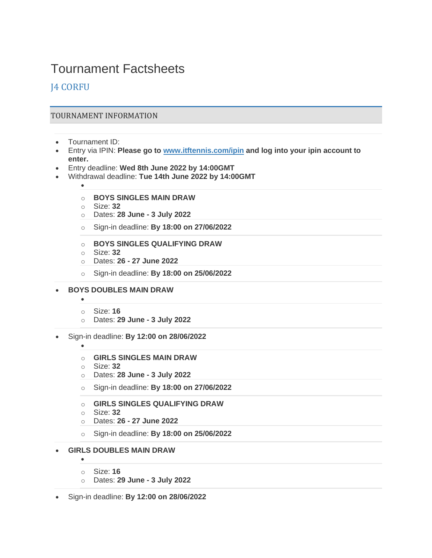# Tournament Factsheets

# J4 CORFU

# TOURNAMENT INFORMATION

- Tournament ID:
- Entry via IPIN: **Please go to [www.itftennis.com/ipin](http://www.itftennis.com/ipin) and log into your ipin account to enter.**
- Entry deadline: **Wed 8th June 2022 by 14:00GMT**
- Withdrawal deadline: **Tue 14th June 2022 by 14:00GMT**
	- •
	- o **BOYS SINGLES MAIN DRAW**
	- o Size: **32**
	- o Dates: **28 June - 3 July 2022**
	- o Sign-in deadline: **By 18:00 on 27/06/2022**
	- o **BOYS SINGLES QUALIFYING DRAW**
	- o Size: **32**
	- o Dates: **26 - 27 June 2022**
	- o Sign-in deadline: **By 18:00 on 25/06/2022**
- **BOYS DOUBLES MAIN DRAW**
	- •
	- o Size: **16**
	- o Dates: **29 June - 3 July 2022**
- Sign-in deadline: **By 12:00 on 28/06/2022**
	- •
	- o **GIRLS SINGLES MAIN DRAW**
	- o Size: **32**
	- o Dates: **28 June - 3 July 2022**
	- o Sign-in deadline: **By 18:00 on 27/06/2022**
	- o **GIRLS SINGLES QUALIFYING DRAW**
	- o Size: **32**
	- o Dates: **26 - 27 June 2022**
	- o Sign-in deadline: **By 18:00 on 25/06/2022**
- **GIRLS DOUBLES MAIN DRAW**
	- o Size: **16**

•

- o Dates: **29 June - 3 July 2022**
- Sign-in deadline: **By 12:00 on 28/06/2022**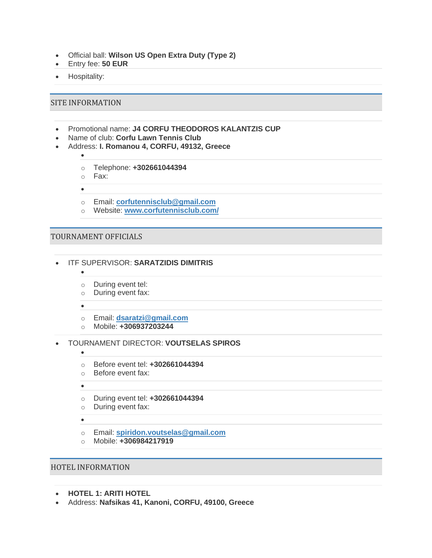- Official ball: **Wilson US Open Extra Duty (Type 2)**
- Entry fee: **50 EUR**
- Hospitality:

#### SITE INFORMATION

•

- Promotional name: **J4 CORFU THEODOROS KALANTZIS CUP**
- Name of club: **Corfu Lawn Tennis Club**
- Address: **I. Romanou 4, CORFU, 49132, Greece**
	- o Telephone: **+302661044394**
	- o Fax:
	- •
	- o Email: **[corfutennisclub@gmail.com](mailto:corfutennisclub@gmail.com)**
	- o Website: **[www.corfutennisclub.com/](http://www.corfutennisclub.com/)**

### TOURNAMENT OFFICIALS

- ITF SUPERVISOR: **SARATZIDIS DIMITRIS**
	- o During event tel:
	- o During event fax:
	- •

 $\bullet$ 

- o Email: **[dsaratzi@gmail.com](mailto:dsaratzi@gmail.com)**
- o Mobile: **+306937203244**
- TOURNAMENT DIRECTOR: **VOUTSELAS SPIROS**
	- o Before event tel: **+302661044394**
	- o Before event fax:

•

•

- o During event tel: **+302661044394**
- o During event fax:

 $\bullet$ 

- o Email: **[spiridon.voutselas@gmail.com](mailto:spiridon.voutselas@gmail.com)**
- o Mobile: **+306984217919**

#### HOTEL INFORMATION

- **HOTEL 1: ARITI HOTEL**
- Address: **Nafsikas 41, Kanoni, CORFU, 49100, Greece**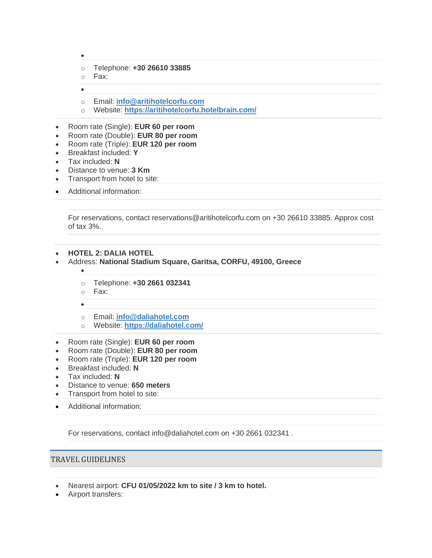- •
- o Telephone: **+30 26610 33885**
- o Fax:
- •
- o Email: **[info@aritihotelcorfu.com](mailto:info@aritihotelcorfu.com)**
- o Website: **[https://aritihotelcorfu.hotelbrain.com/](http://https/aritihotelcorfu.hotelbrain.com/)**
- Room rate (Single): **EUR 60 per room**
- Room rate (Double): **EUR 80 per room**
- Room rate (Triple): **EUR 120 per room**
- Breakfast included: **Y**
- Tax included: **N**
- Distance to venue: **3 Km**
- Transport from hotel to site:
- Additional information:

For reservations, contact reservations@aritihotelcorfu.com on +30 26610 33885. Approx cost of tax 3%.

- **HOTEL 2: DALIA HOTEL**
- Address: **National Stadium Square, Garitsa, CORFU, 49100, Greece**
	- •
	- o Telephone: **+30 2661 032341**
	- o Fax:
	- •
	- o Email: **[info@daliahotel.com](mailto:info@daliahotel.com)**
	- o Website: **[https://daliahotel.com/](http://https/daliahotel.com/)**
- Room rate (Single): **EUR 60 per room**
- Room rate (Double): **EUR 80 per room**
- Room rate (Triple): **EUR 120 per room**
- Breakfast included: **N**
- Tax included: **N**
- Distance to venue: **650 meters**
- Transport from hotel to site:
- Additional information:

For reservations, contact info@daliahotel.com on +30 2661 032341 .

## TRAVEL GUIDELINES

- Nearest airport: **CFU 01/05/2022 km to site / 3 km to hotel.**
- Airport transfers: